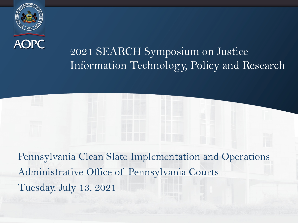

# 2021 SEARCH Symposium on Justice Information Technology, Policy and Research

Pennsylvania Clean Slate Implementation and Operations Administrative Office of Pennsylvania Courts Tuesday, July 13, 2021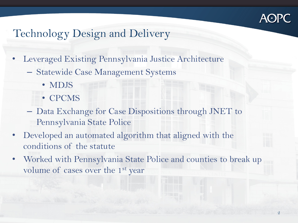

## Technology Design and Delivery

- Leveraged Existing Pennsylvania Justice Architecture
	- Statewide Case Management Systems
		- MDJS
		- CPCMS
	- Data Exchange for Case Dispositions through JNET to Pennsylvania State Police
- Developed an automated algorithm that aligned with the conditions of the statute
- Worked with Pennsylvania State Police and counties to break up volume of cases over the 1<sup>st</sup> year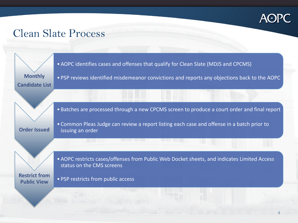

#### Clean Slate Process

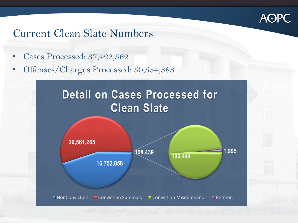

### Current Clean Slate Numbers

- Cases Processed: 37,422,562
- Offenses/Charges Processed: 50,554,383



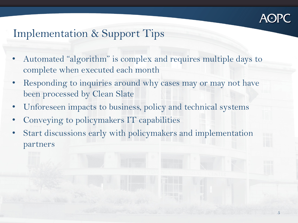

### Implementation & Support Tips

- Automated "algorithm" is complex and requires multiple days to complete when executed each month
- Responding to inquiries around why cases may or may not have been processed by Clean Slate
- Unforeseen impacts to business, policy and technical systems
- Conveying to policymakers IT capabilities
- Start discussions early with policymakers and implementation partners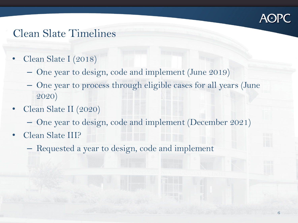

#### Clean Slate Timelines

- Clean Slate I (2018)
	- One year to design, code and implement (June 2019)
	- One year to process through eligible cases for all years (June 2020)
- Clean Slate II (2020)
	- One year to design, code and implement (December 2021)
- Clean Slate III?
	- Requested a year to design, code and implement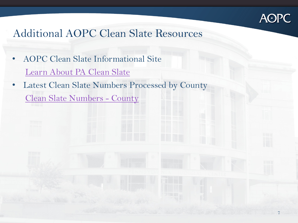

7

## Additional AOPC Clean Slate Resources

- AOPC Clean Slate Informational Site [Learn About PA Clean Slate](https://www.pacourts.us/learn/learn-about-the-judicial-system/clean-slate-expungement-and-limited-access)
- Latest Clean Slate Numbers Processed by County [Clean Slate Numbers -](https://www.pacourts.us/Storage/media/pdfs/20210224/160628-processedcleanslatenumberscounty-008210.pdf) County